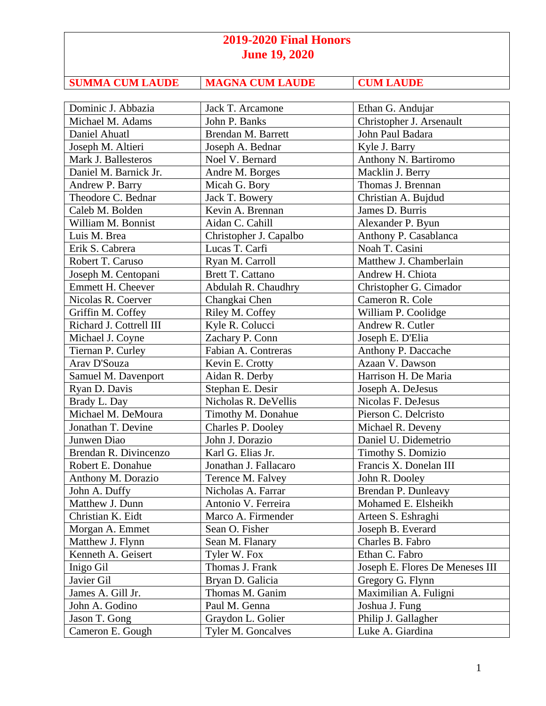| <b>SUMMA CUM LAUDE</b> | <b>MAGNA CUM LAUDE</b> | <b>CUM LAUDE</b> |
|------------------------|------------------------|------------------|
|                        |                        |                  |

| Dominic J. Abbazia      | Jack T. Arcamone         | Ethan G. Andujar                |
|-------------------------|--------------------------|---------------------------------|
| Michael M. Adams        | John P. Banks            | Christopher J. Arsenault        |
| Daniel Ahuatl           | Brendan M. Barrett       | John Paul Badara                |
| Joseph M. Altieri       | Joseph A. Bednar         | Kyle J. Barry                   |
| Mark J. Ballesteros     | Noel V. Bernard          | Anthony N. Bartiromo            |
| Daniel M. Barnick Jr.   | Andre M. Borges          | Macklin J. Berry                |
| Andrew P. Barry         | Micah G. Bory            | Thomas J. Brennan               |
| Theodore C. Bednar      | Jack T. Bowery           | Christian A. Bujdud             |
| Caleb M. Bolden         | Kevin A. Brennan         | James D. Burris                 |
| William M. Bonnist      | Aidan C. Cahill          | Alexander P. Byun               |
| Luis M. Brea            | Christopher J. Capalbo   | Anthony P. Casablanca           |
| Erik S. Cabrera         | Lucas T. Carfi           | Noah T. Casini                  |
| Robert T. Caruso        | Ryan M. Carroll          | Matthew J. Chamberlain          |
| Joseph M. Centopani     | <b>Brett T. Cattano</b>  | Andrew H. Chiota                |
| Emmett H. Cheever       | Abdulah R. Chaudhry      | Christopher G. Cimador          |
| Nicolas R. Coerver      | Changkai Chen            | Cameron R. Cole                 |
| Griffin M. Coffey       | Riley M. Coffey          | William P. Coolidge             |
| Richard J. Cottrell III | Kyle R. Colucci          | Andrew R. Cutler                |
| Michael J. Coyne        | Zachary P. Conn          | Joseph E. D'Elia                |
| Tiernan P. Curley       | Fabian A. Contreras      | Anthony P. Daccache             |
| Arav D'Souza            | Kevin E. Crotty          | Azaan V. Dawson                 |
| Samuel M. Davenport     | Aidan R. Derby           | Harrison H. De Maria            |
| Ryan D. Davis           | Stephan E. Desir         | Joseph A. DeJesus               |
| Brady L. Day            | Nicholas R. DeVellis     | Nicolas F. DeJesus              |
| Michael M. DeMoura      | Timothy M. Donahue       | Pierson C. Delcristo            |
| Jonathan T. Devine      | <b>Charles P. Dooley</b> | Michael R. Deveny               |
| Junwen Diao             | John J. Dorazio          | Daniel U. Didemetrio            |
| Brendan R. Divincenzo   | Karl G. Elias Jr.        | Timothy S. Domizio              |
| Robert E. Donahue       | Jonathan J. Fallacaro    | Francis X. Donelan III          |
| Anthony M. Dorazio      | Terence M. Falvey        | John R. Dooley                  |
| John A. Duffy           | Nicholas A. Farrar       | Brendan P. Dunleavy             |
| Matthew J. Dunn         | Antonio V. Ferreira      | Mohamed E. Elsheikh             |
| Christian K. Eidt       | Marco A. Firmender       | Arteen S. Eshraghi              |
| Morgan A. Emmet         | Sean O. Fisher           | Joseph B. Everard               |
| Matthew J. Flynn        | Sean M. Flanary          | Charles B. Fabro                |
| Kenneth A. Geisert      | Tyler W. Fox             | Ethan C. Fabro                  |
| Inigo Gil               | Thomas J. Frank          | Joseph E. Flores De Meneses III |
| Javier Gil              | Bryan D. Galicia         | Gregory G. Flynn                |
| James A. Gill Jr.       | Thomas M. Ganim          | Maximilian A. Fuligni           |
| John A. Godino          | Paul M. Genna            | Joshua J. Fung                  |
| Jason T. Gong           | Graydon L. Golier        | Philip J. Gallagher             |
| Cameron E. Gough        | Tyler M. Goncalves       | Luke A. Giardina                |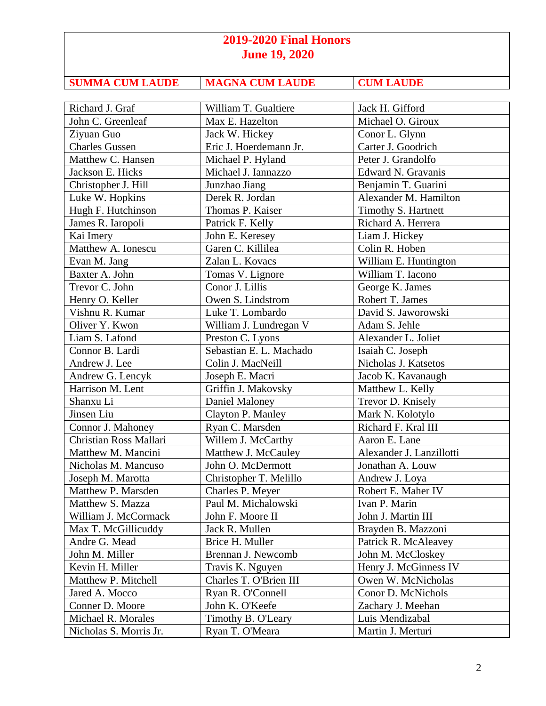| <b>SUMMA CUM LAUDE</b> | <b>MAGNA CUM LAUDE</b> | <b>CUM LAUDE</b> |
|------------------------|------------------------|------------------|

| Richard J. Graf        | William T. Gualtiere    | Jack H. Gifford          |
|------------------------|-------------------------|--------------------------|
| John C. Greenleaf      | Max E. Hazelton         | Michael O. Giroux        |
| Ziyuan Guo             | Jack W. Hickey          | Conor L. Glynn           |
| <b>Charles Gussen</b>  | Eric J. Hoerdemann Jr.  | Carter J. Goodrich       |
| Matthew C. Hansen      | Michael P. Hyland       | Peter J. Grandolfo       |
| Jackson E. Hicks       | Michael J. Iannazzo     | Edward N. Gravanis       |
| Christopher J. Hill    | Junzhao Jiang           | Benjamin T. Guarini      |
| Luke W. Hopkins        | Derek R. Jordan         | Alexander M. Hamilton    |
| Hugh F. Hutchinson     | Thomas P. Kaiser        | Timothy S. Hartnett      |
| James R. Iaropoli      | Patrick F. Kelly        | Richard A. Herrera       |
| Kai Imery              | John E. Keresey         | Liam J. Hickey           |
| Matthew A. Ionescu     | Garen C. Killilea       | Colin R. Hoben           |
| Evan M. Jang           | Zalan L. Kovacs         | William E. Huntington    |
| Baxter A. John         | Tomas V. Lignore        | William T. Iacono        |
| Trevor C. John         | Conor J. Lillis         | George K. James          |
| Henry O. Keller        | Owen S. Lindstrom       | Robert T. James          |
| Vishnu R. Kumar        | Luke T. Lombardo        | David S. Jaworowski      |
| Oliver Y. Kwon         | William J. Lundregan V  | Adam S. Jehle            |
| Liam S. Lafond         | Preston C. Lyons        | Alexander L. Joliet      |
| Connor B. Lardi        | Sebastian E. L. Machado | Isaiah C. Joseph         |
| Andrew J. Lee          | Colin J. MacNeill       | Nicholas J. Katsetos     |
| Andrew G. Lencyk       | Joseph E. Macri         | Jacob K. Kavanaugh       |
| Harrison M. Lent       | Griffin J. Makovsky     | Matthew L. Kelly         |
| Shanxu Li              | Daniel Maloney          | Trevor D. Knisely        |
| Jinsen Liu             | Clayton P. Manley       | Mark N. Kolotylo         |
| Connor J. Mahoney      | Ryan C. Marsden         | Richard F. Kral III      |
| Christian Ross Mallari | Willem J. McCarthy      | Aaron E. Lane            |
| Matthew M. Mancini     | Matthew J. McCauley     | Alexander J. Lanzillotti |
| Nicholas M. Mancuso    | John O. McDermott       | Jonathan A. Louw         |
| Joseph M. Marotta      | Christopher T. Melillo  | Andrew J. Loya           |
| Matthew P. Marsden     | Charles P. Meyer        | Robert E. Maher IV       |
| Matthew S. Mazza       | Paul M. Michalowski     | Ivan P. Marin            |
| William J. McCormack   | John F. Moore II        | John J. Martin III       |
| Max T. McGillicuddy    | Jack R. Mullen          | Brayden B. Mazzoni       |
| Andre G. Mead          | Brice H. Muller         | Patrick R. McAleavey     |
| John M. Miller         | Brennan J. Newcomb      | John M. McCloskey        |
| Kevin H. Miller        | Travis K. Nguyen        | Henry J. McGinness IV    |
| Matthew P. Mitchell    | Charles T. O'Brien III  | Owen W. McNicholas       |
| Jared A. Mocco         | Ryan R. O'Connell       | Conor D. McNichols       |
| Conner D. Moore        | John K. O'Keefe         | Zachary J. Meehan        |
| Michael R. Morales     | Timothy B. O'Leary      | Luis Mendizabal          |
| Nicholas S. Morris Jr. | Ryan T. O'Meara         | Martin J. Merturi        |
|                        |                         |                          |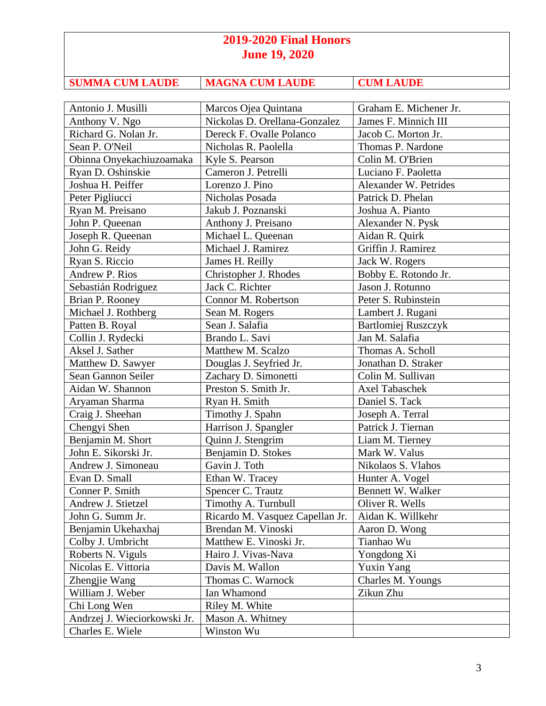| <b>SUMMA CUM LAUDE</b> | <b>MAGNA CUM LAUDE</b> | <b>CUM LAUDE</b> |
|------------------------|------------------------|------------------|

| Antonio J. Musilli           | Marcos Ojea Quintana            | Graham E. Michener Jr.     |
|------------------------------|---------------------------------|----------------------------|
| Anthony V. Ngo               | Nickolas D. Orellana-Gonzalez   | James F. Minnich III       |
| Richard G. Nolan Jr.         | Dereck F. Ovalle Polanco        | Jacob C. Morton Jr.        |
| Sean P. O'Neil               | Nicholas R. Paolella            | Thomas P. Nardone          |
| Obinna Onyekachiuzoamaka     | Kyle S. Pearson                 | Colin M. O'Brien           |
| Ryan D. Oshinskie            | Cameron J. Petrelli             | Luciano F. Paoletta        |
| Joshua H. Peiffer            | Lorenzo J. Pino                 | Alexander W. Petrides      |
| Peter Pigliucci              | Nicholas Posada                 | Patrick D. Phelan          |
| Ryan M. Preisano             | Jakub J. Poznanski              | Joshua A. Pianto           |
| John P. Queenan              | Anthony J. Preisano             | Alexander N. Pysk          |
| Joseph R. Queenan            | Michael L. Queenan              | Aidan R. Quirk             |
| John G. Reidy                | Michael J. Ramirez              | Griffin J. Ramirez         |
| Ryan S. Riccio               | James H. Reilly                 | Jack W. Rogers             |
| Andrew P. Rios               | Christopher J. Rhodes           | Bobby E. Rotondo Jr.       |
| Sebastián Rodriguez          | Jack C. Richter                 | Jason J. Rotunno           |
| Brian P. Rooney              | Connor M. Robertson             | Peter S. Rubinstein        |
| Michael J. Rothberg          | Sean M. Rogers                  | Lambert J. Rugani          |
| Patten B. Royal              | Sean J. Salafia                 | <b>Bartlomiej Ruszczyk</b> |
| Collin J. Rydecki            | Brando L. Savi                  | Jan M. Salafia             |
| Aksel J. Sather              | Matthew M. Scalzo               | Thomas A. Scholl           |
| Matthew D. Sawyer            | Douglas J. Seyfried Jr.         | Jonathan D. Straker        |
| Sean Gannon Seiler           | Zachary D. Simonetti            | Colin M. Sullivan          |
| Aidan W. Shannon             | Preston S. Smith Jr.            | Axel Tabaschek             |
| Aryaman Sharma               | Ryan H. Smith                   | Daniel S. Tack             |
| Craig J. Sheehan             | Timothy J. Spahn                | Joseph A. Terral           |
| Chengyi Shen                 | Harrison J. Spangler            | Patrick J. Tiernan         |
| Benjamin M. Short            | Quinn J. Stengrim               | Liam M. Tierney            |
| John E. Sikorski Jr.         | Benjamin D. Stokes              | Mark W. Valus              |
| Andrew J. Simoneau           | Gavin J. Toth                   | Nikolaos S. Vlahos         |
| Evan D. Small                | Ethan W. Tracey                 | Hunter A. Vogel            |
| Conner P. Smith              | Spencer C. Trautz               | Bennett W. Walker          |
| Andrew J. Stietzel           | Timothy A. Turnbull             | Oliver R. Wells            |
| John G. Summ Jr.             | Ricardo M. Vasquez Capellan Jr. | Aidan K. Willkehr          |
| Benjamin Ukehaxhaj           | Brendan M. Vinoski              | Aaron D. Wong              |
| Colby J. Umbricht            | Matthew E. Vinoski Jr.          | Tianhao Wu                 |
| Roberts N. Viguls            | Hairo J. Vivas-Nava             | Yongdong Xi                |
| Nicolas E. Vittoria          | Davis M. Wallon                 | <b>Yuxin Yang</b>          |
| Zhengjie Wang                | Thomas C. Warnock               | Charles M. Youngs          |
| William J. Weber             | Ian Whamond                     | Zikun Zhu                  |
| Chi Long Wen                 | Riley M. White                  |                            |
| Andrzej J. Wieciorkowski Jr. | Mason A. Whitney                |                            |
| Charles E. Wiele             | Winston Wu                      |                            |